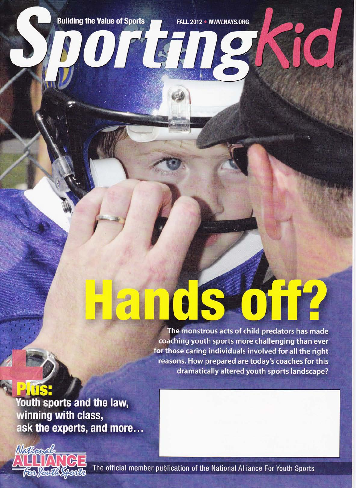**Building the Value of Sports** 

Orten

FALL 2012 . WWW.NAYS.ORG

The monstrous acts of child predators has made coaching youth sports more challenging than ever for those caring individuals involved for all the right reasons. How prepared are today's coaches for this dramatically altered youth sports landscape?

**Youth sports and the law,** winning with class, ask the experts, and more...



The official member publication of the National Alliance For Youth Sports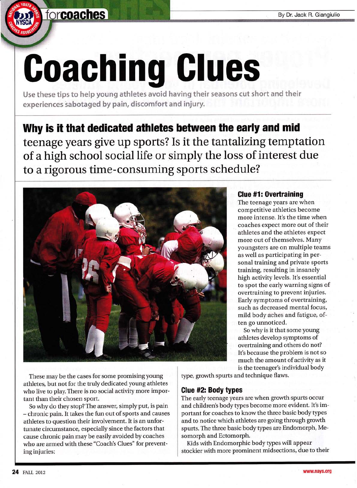## forcoaches

# Goaching Glues

Use these tips to help young athletes avoid having their seasons cut short and their experiences sabotaged by pain, discomfort and injury.

## Why is it that dedicated athletes between the early and mid teenage years give up sports? Is it the tantalizing temptation of a high school social life or simply the loss of interest due to a rigorous time-consuming sports schedule?



### Glue #1: Overtraining

The teenage years are when competitive athletics become more intense. It's the time when coaches expect more out of their athletes and the athletes expect more out of themselves. Many youngsters are on multiple teams as well as participating in personal training and private sports training, resulting in insanely high activity levels. It's essential to spot the early warning signs of overtraining to prevent injuries. Early symptoms of overtraining, such as decreased mental focus, mild body aches and fatigue, often go unnoticed.

So why is it that some young athletes develop symptoms of overtraining and others do not? It's because the problem is not so much the amount of activity as it is the teenager's individual body

These may be the cases for some promising young athletes, but not for the truly dedicated young athletes who live to play. There is no social activity more important than their chosen sport.

So why do they stop? The answer, simply put, is pain - chronic pain. It takes the fun out of sports and causes athletes to question their involvement. It is an unfortunate circumstance, especially since the factors that cause chronic pain maybe easily avoided by coaches who are armed with these "Coach's Clues" for preventing injuries:

type, growth spurts and technique flaws.

#### Glue #2: Body types

The early teenage years are when growth spurts occur and children's body types become more evident. It's important for coaches to know the three basic body types and to notice which athletes are going through growth spurts. The three basic body types are Endomorph, Mesomorph and Ectomorph.

Kids with Endomorphic body types will appear stockier with more prominent midsections, due to their